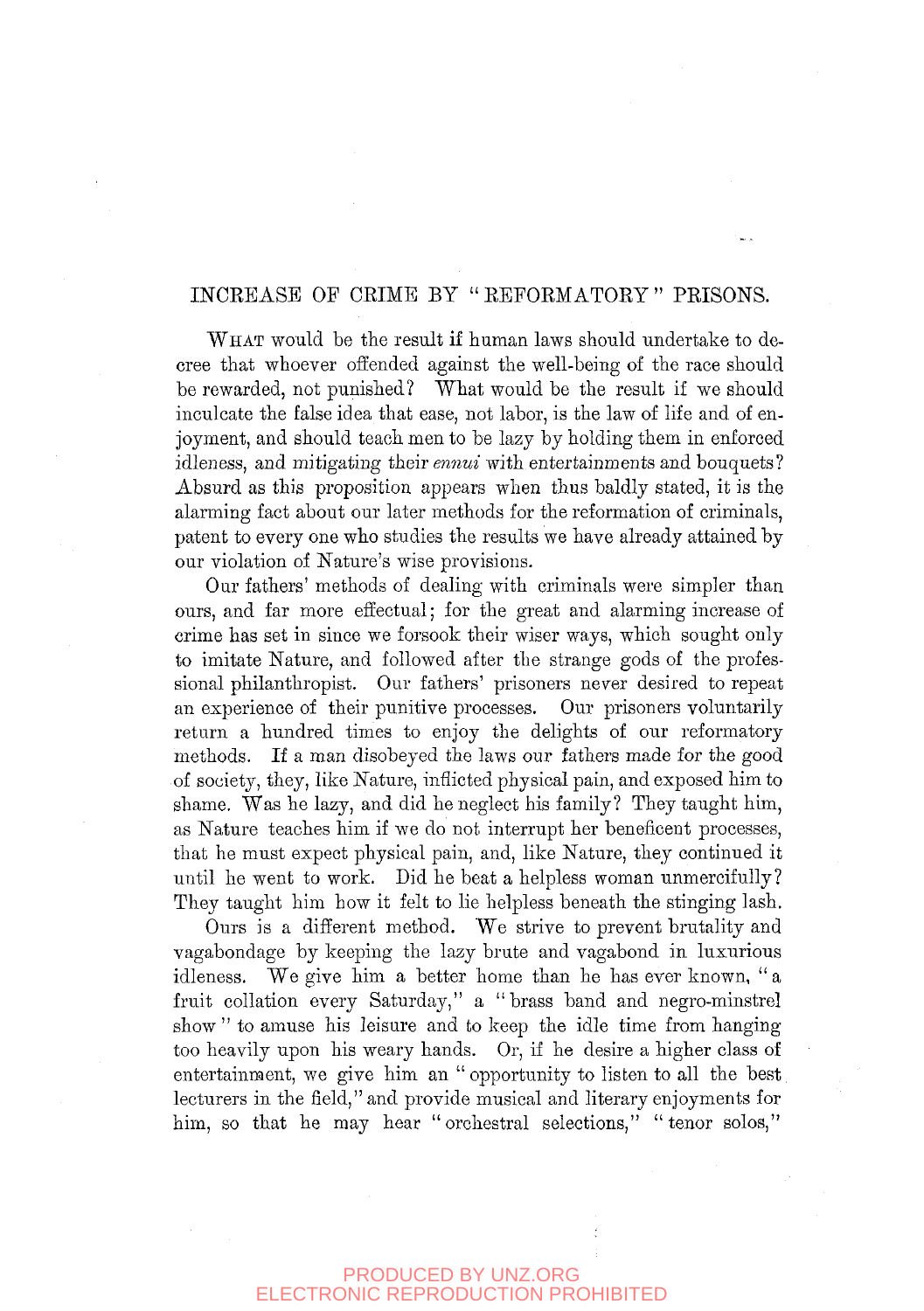# INCEBASB OF OEIME BY " EEFOEMATORY " PEISONS.

WHAT would be the result if human laws should undertake to decree that whoever offended against the well-being of the race should be rewarded, not punished? What would be the result if we should inculcate the false idea that ease, not labor, is the law of life and of enjoyment, and should teach men to be lazy by holding them in enforced idleness, and mitigating their *ennui* with entertainments and bouquets? Absurd as this proposition appears when thus baldly stated, it is the alarming fact about our later methods for the reformation of criminals, patent to every one who studies the results we have already attained by our violation of Nature's wise provisions.

Our fathers' methods of dealing with criminals were simpler than ours, and far more effectual; for the great and alarming increase of crime has set in since we forsook their wiser ways, which sought only to imitate Nature, and followed after the strange gods of the professional philanthropist. Our fathers' prisoners never desired to repeat an experience of their punitive processes. Our prisoners voluntarily return a hundred times to enjoy the delights of our reformatory methods. If a man disobeyed the laws our fathers made for the good of society, they, like Nature, inflicted physical pain, and exposed him to shame. Was he lazy, and did he neglect his family? They taught him, as Nature teaches him if we do not interrupt her beneficent processes, that he must expect physical pain, and, like Nature, they continued it until he went to work. Did he beat a helpless woman unmercifully ? They taught him how it felt to lie helpless beneath the stinging lash.

Ours is a different method. We strive to prevent brutality and vagabondage by keeping the lazy brute and vagabond in luxurious idleness. We give him a better home than he has ever known, " a fruit collation every Saturday," a "brass band and negro-minstrel show " to amuse his leisure and to keep the idle time from hanging too heavily upon his weary hands. Or, if he desire a higher class of entertainment, we give him an "opportunity to listen to all the best lecturers in the field," and provide musical and literary enjoyments for him, so that he may hear "orchestral selections," "tenor solos,"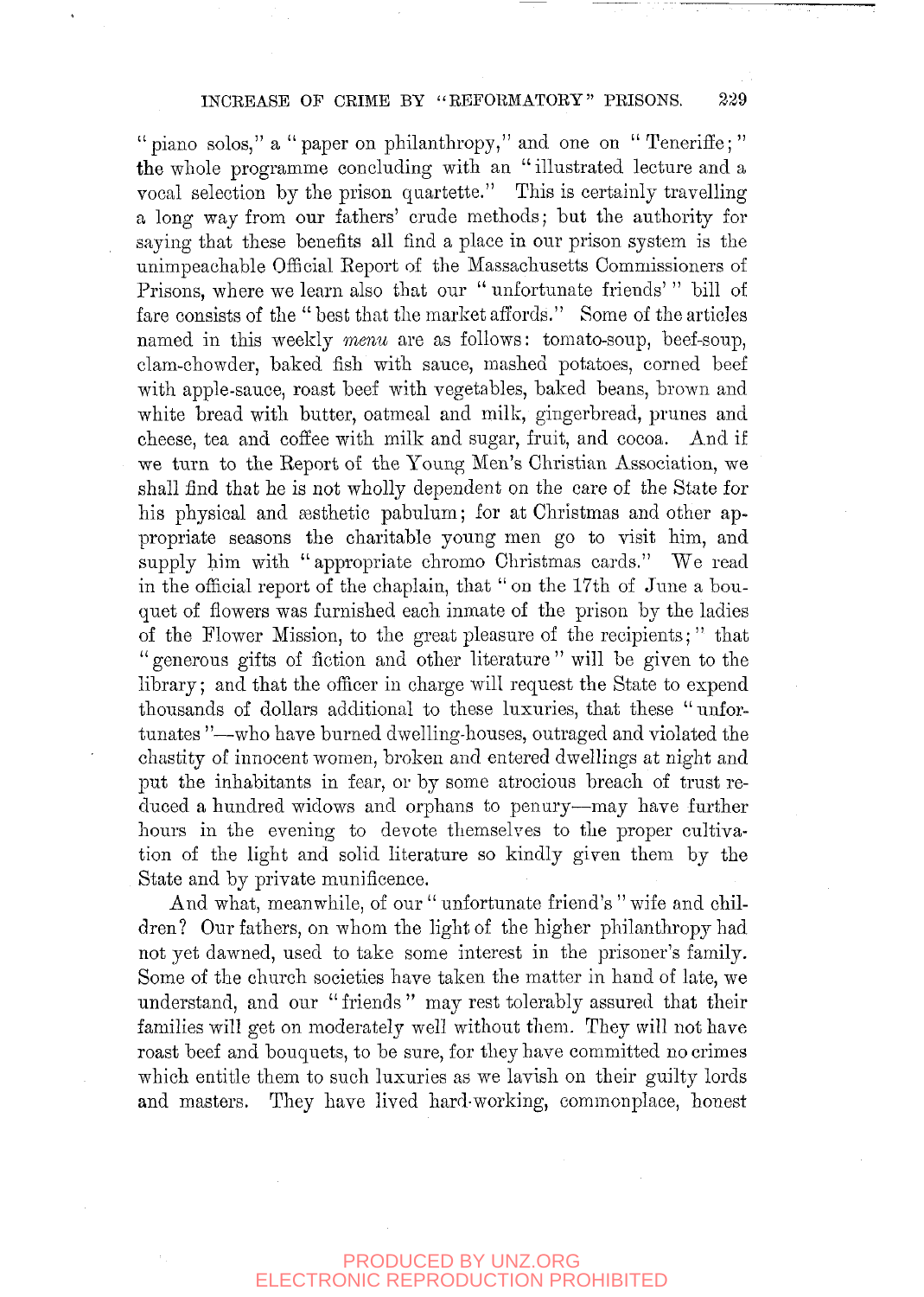" piano solos," a "paper on philanthropy," and one on "Teneriffe;" the whole programme concluding with an "illustrated lecture and a vocal selection by the prison quartette." This is certainly travelling a long way from our fathers' crude methods; bat the authority for saying that these benefits all find a place in our prison system is the unimpeachable Official Eeport of the Massachusetts Commissioners of Prisons, where we learn also that our " unfortunate friends' " bill of fare consists of the " best that the market affords." Some of the articles named in this weekly *menu* are as follows: tomato-soup, beef-soup, clam-chowder, baked fish with sauce, mashed potatoes, corned beef with apple-sauce, roast beef with vegetables, baked beans, brown and white bread with butter, oatmeal and milk, gingerbread, prunes and cheese, tea and coffee with milk and sugar, fruit, and cocoa. And if we turn to the Eeport of the Young Men's Christian Association, we shall find that he is not wholly dependent on the care of the State for his physical and aesthetic pabulum; for at Christmas and other appropriate seasons the charitable young men go to visit him, and supply him with "appropriate chromo Christmas cards." We read in the official report of the chaplain, that " on the 17th of June a bouquet of flowers was furnished each inmate of the prison by the ladies of the Flower Mission, to the great pleasure of the recipients; " that " generous gifts of fiction and other literature " will be given to the library; and that the officer in charge will request the State to expend thousands of dollars additional to these luxuries, that these "unfortunates "—who have burned dwelling-houses, outraged and violated the chastity of innocent women, broken and entered dwellings at night and put the inhabitants in fear, or by some atrocious breach of trust reduced a hundred widows and orphans to penury—may have further hours in the evening to devote themselves to the proper cultivation of the light and solid literature so kindly given them by the State and by private munificence.

And what, meanwhile, of our " unfortunate friend's " wife and children? Our fathers, on whom the light of the higher philanthropy had not yet dawned, used to take some interest in the prisoner's family. Some of the church societies have taken the matter in hand of late, we understand, and our "friends" may rest tolerably assured that their families will get on moderately well without them. They will not have roast beef and bouquets, to be sure, for they have committed no crimes which entitle them to such luxuries as we lavish on their guilty lords and masters. They have lived hard-working, commonplace, honest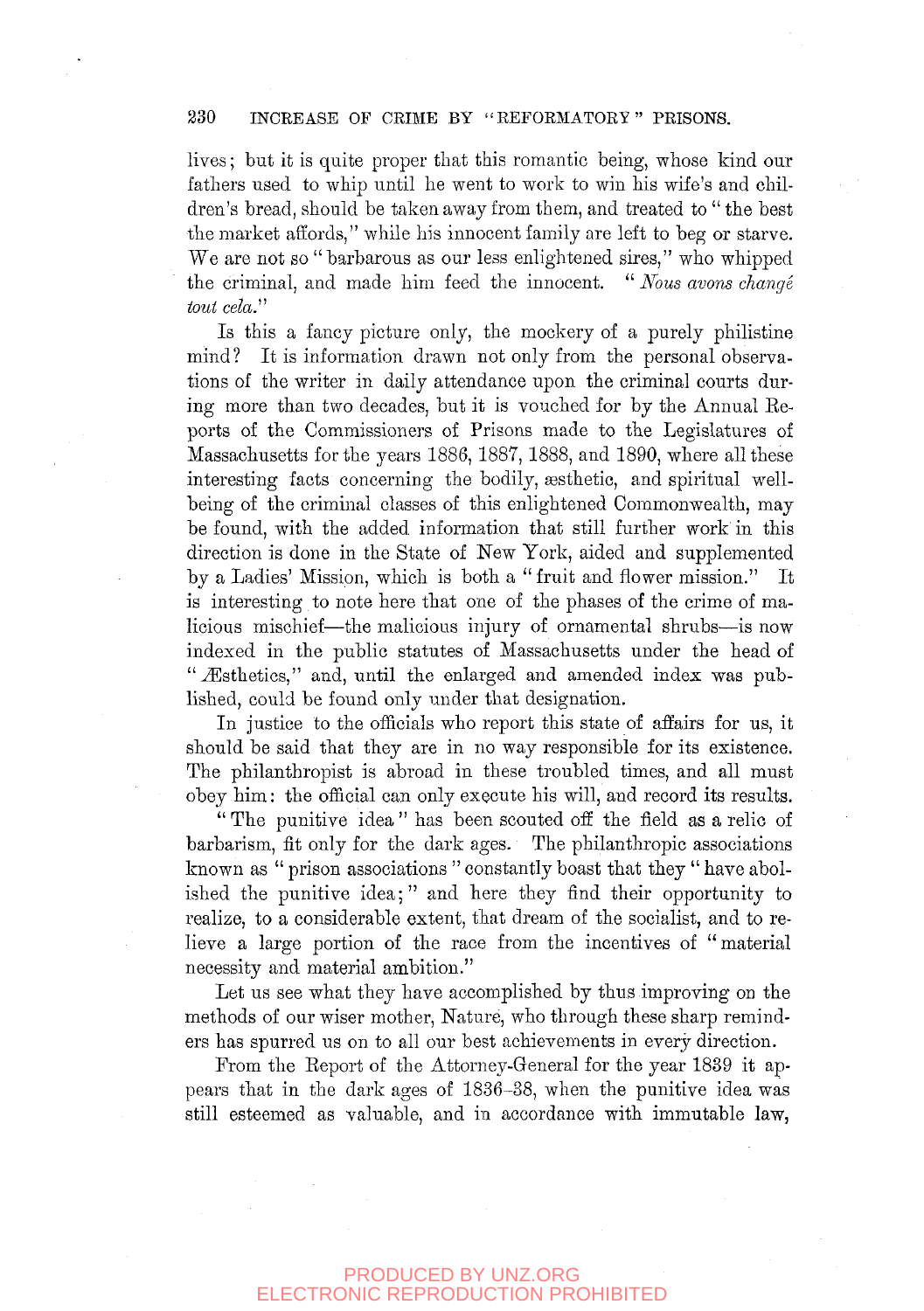#### 230 INCREASE OF CRIME BY "REFORMATORY" PRISONS.

lives; but it is quite proper that this romantic being, whose kind our fathers used to whip until he went to work to win his wife's and children's bread, should be taken away from them, and treated to " the best the market affords," while his innocent family are left to beg or starve. We are not so "barbarous as our less enlightened sires," who whipped the criminal, and made him feed the innocent. " *Nous avons change tout cela."* 

Is this a fancy picture only, the mockery of a purely philistine mind? It is information drawn not only from the personal observations of the writer in daily attendance upon the criminal courts during more than two decades, but it is vouched for by the Annual Eeports of the Commissioners of Prisons made to the Legislatures of Massachusetts for the years 1886, 1887, 1888, and 1890, where all these interesting facts concerning the bodily, gesthetic, and spiritual wellbeing of the criminal classes of this enlightened Commonwealth, may be found, with the added information that still further work in this direction is done in the State of New York, aided and supplemented by a Ladies' Mission, which is both a " fruit and flower mission." It is interesting to note here that one of the phases of the crime of malicious mischief—the malicious injury of ornamental shrubs—is now indexed in the public statutes of Massachusetts under the head of " Æsthetics," and, until the enlarged and amended index was published, could be found only under that designation.

In justice to the officials who report this state of affairs for us, it should be said that they are in no way responsible for its existence. The philanthropist is abroad in these troubled times, and all must obey him: the official can only execute his will, and record its results.

" The punitive idea " has been scouted off the field as a relic of barbarism, fit only for the dark ages. The philanthropic associations known as " prison associations " constantly boast that they " have abolished the punitive idea;" and here they find their opportunity to realize, to a considerable extent, that dream of the socialist, and to relieve a large portion of the race from the incentives of "material necessity and material ambition."

Let us see what they have accomplished by thus improving on the methods of our wiser mother, Nature, who through these sharp reminders has spurred us on to all our best achievements in every direction.

From the Eeport of the Attorney-General for the year 1839 it appears that in the dark ages of 1836-38, when the punitive idea was still esteemed as valuable, and in accordance with immutable law,

#### PRODUCED BY UNZ.ORG ECTRONIC REPRODUCTION PROHIBITED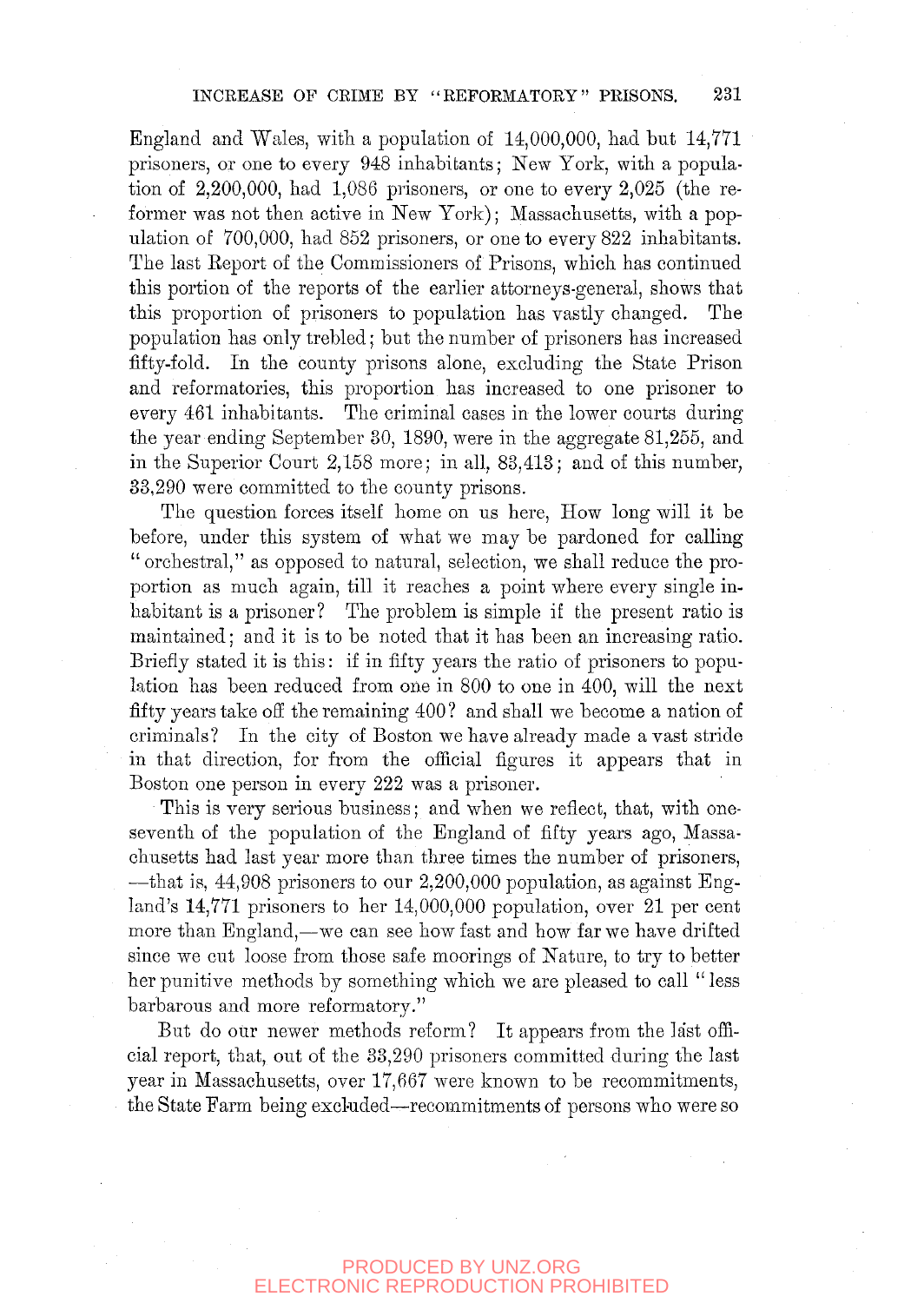England and Wales, with a population of 14,000,000, had but 14,771 prisoners, or one to every 948 inhabitants; New York, with a population of 2,200,000, had 1,086 prisoners, or one to every 2,025 (the reformer was not then active in New York); Massachusetts, with a population of 700,000, had 852 prisoners, or one to every 822 inhabitants. The last Eeport of the Commissioners of Prisons, which has continued this portion of the reports of the earlier attorneys-general, shows that this proportion of prisoners to population has vastly changed. The population has only trebled; but the number of prisoners has increased fifty-fold. In the county prisons alone, excluding the State Prison and reformatories, this proportion has increased to one prisoner to every 461 inhabitants. The criminal cases in the lower courts during the year ending September 30, 1890, were in the aggregate 81,255, and in the Superior Court 2,158 more; in all, 83,413; and of this number, 33,290 were committed to the county prisons.

The question forces itself home on us here. How long will it be before, under this system of what we may be pardoned for calling "orchestral," as opposed to natural, selection, we shall reduce the proportion as much again, till it reaches a point where every single inhabitant is a prisoner? The problem is simple if the present ratio is maintained; and it is to be noted that it has been an increasing ratio. Briefly stated it is this: if in fifty years the ratio of prisoners to population has been reduced from one in 800 to one in 400, will the next fifty years take off the remaining 400? and shall we become a nation of criminals? In the city of Boston we have already made avast stride in that direction, for from the official figures it appears that in Boston one person in every 222 was a prisoner.

This is very serious business; and when we reflect, that, with oneseventh of the population of the England of fifty years ago, Massachusetts had last year more than three times the number of prisoners, —that is, 44,908 prisoners to our 2,200,000 population, as against England's 14,771 prisoners to her 14,000,000 population, over 21 per cent more than England,—we can see how fast and how far we have drifted since we cut loose from those safe moorings of Nature, to try to better her punitive methods by something which we are pleased to call " less barbarous and more reformatory."

But do our newer methods reform? It appears from the last official report, that, out of the 33,290 prisoners committed during the last year in Massachusetts, over 17,667 were known to be recommitments, the State Farm being excluded—recommitments of persons who were so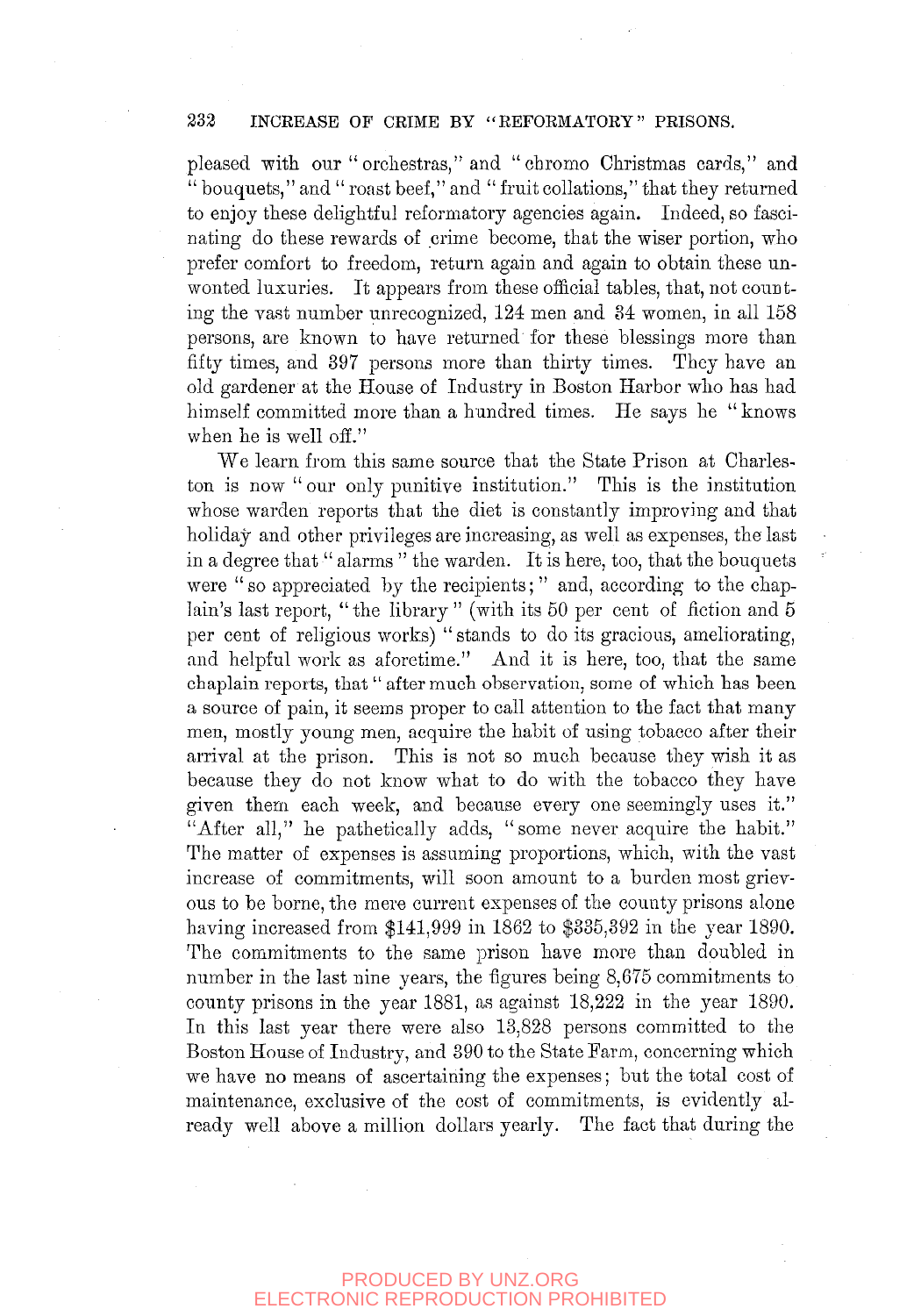#### 232 INCREASE OF CRIME BY "REFORMATORY" PRISONS.

pleased with our "orchestras," and "chrome Christmas cards," and  $\ddot{H}$  bouquets," and " roast beef," and " fruit collations," that they returned to enjoy these delightful reformatory agencies again. Indeed, so fascinating do these rewards of crime become, that the wiser portion, who prefer comfort to freedom, return again and again to obtain these unwonted luxuries. It appears from these official tables, that, not counting the vast number unrecognized, 124 men and 84 women, in all 158 persons, are known to have returned for these blessings more than fifty times, and 397 persons more than thirty times. They have an old gardener at the House of Industry in Boston Harbor who has had himself committed more than a hundred times. He says he " knows when he is well off."

We learn from this same source that the State Prison at Charleston is now "our only punitive institution." This is the institution whose warden reports that the diet is constantly improving and that holiday and other privileges are increasing, as well as expenses, the last in a degree that " alarms " the warden. It is here, too, that the bouquets were "so appreciated by the recipients;" and, according to the chaplain's last report, "the library" (with its 50 per cent of fiction and  $5$ per cent of religious works) " stands to do its gracious, ameliorating, and helpful work as aforetime." And it is here, too, that the same chaplain reports, that " after much observation, some of which has been a source of pain, it seems proper to call attention to the fact that many men, mostly young men, acquire the habit of using tobacco after their arrival at the prison. This is not so much because they wish it as because they do not know what to do with the tobacco they have given them each week, and because every one seemingly uses it." "After all," he pathetically adds, "some never acquire the habit." The matter of expenses is assuming proportions, which, with the vast increase of commitments, will soon amount to a burden most grievous to be borne, the mere current expenses of the county prisons alone having increased from \$141,999 in 1862 to \$335,392 in the year 1890. The commitments to the same prison have more than doubled in number in the last nine years, the figures being 8,675 commitments to county prisons in the year 1881, as against 18,222 in the year 1890. In this last year there were also 13,828 persons committed to the Boston House of Industry, and 390 to the State Farm, concerning which we have no means of ascertaining the expenses; but the total cost of maintenance, exclusive of the cost of commitments, is evidently already well above a million dollars yearly. The fact that during the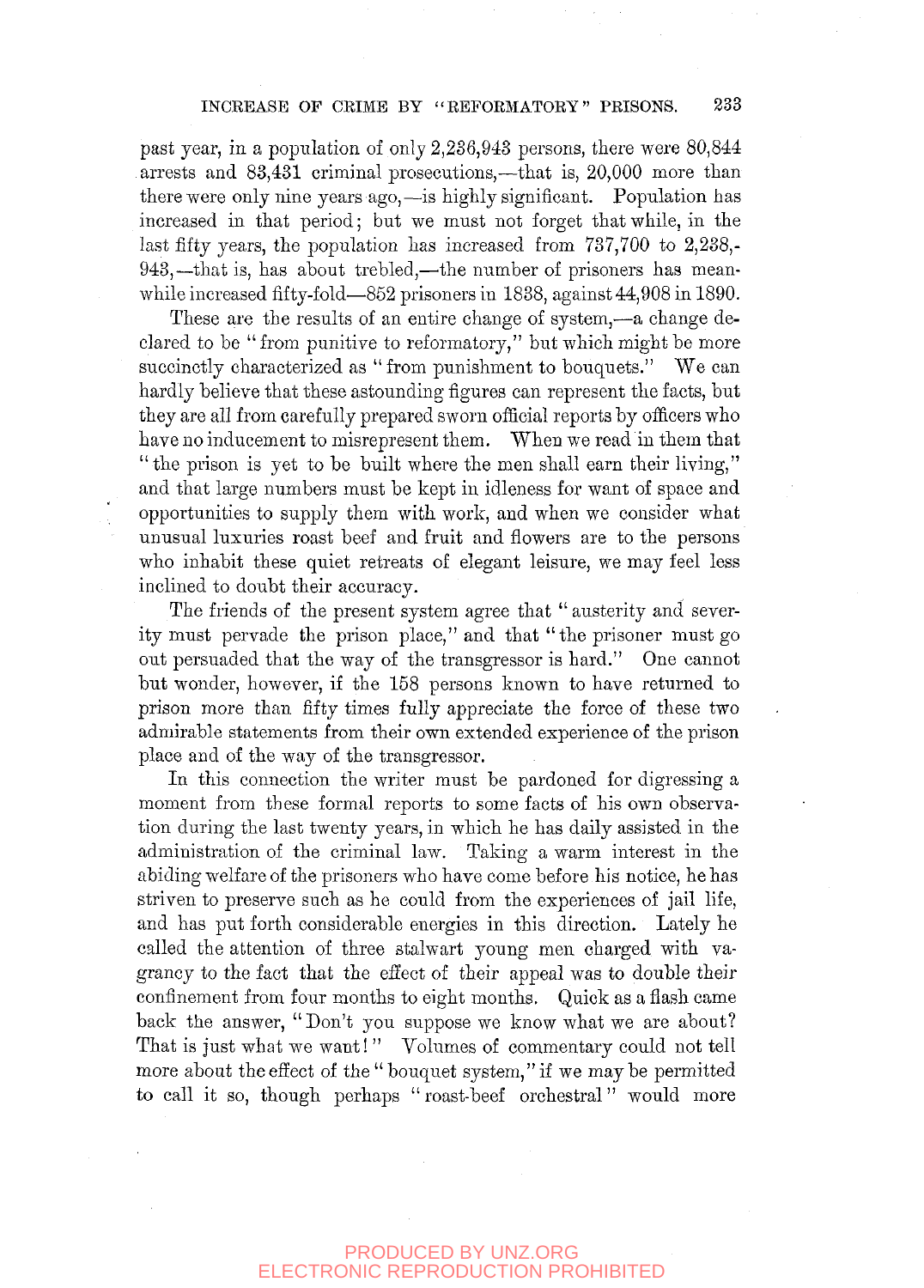### INCREASE OP CRIME BY "REFORMATORY" PRISONS. 233

past year, in a population of only 2,236,943 persons, there were 80,844 arrests and 83,481 criminal prosecutions,—that is, 20,000 more than there were only nine years ago,—is highly significant. Population has increased in that period; but we must not forget that while, in the last fifty years, the population has increased from  $737,700$  to 2,238,-943,—that is, has about trehled,—the number of prisoners has meanwhile increased fifty-fold—852 prisoners in 1838, against 44,908 in 1890.

These are the results of an entire change of system,—a change declared to be "from punitive to reformatory," but which might be more succinctly characterized as " from punishment to bouquets." We can hardly believe that these astounding figures can represent the facts, but they are all from carefully prepared sworn official reports by officers who have no inducement to misrepresent them. When we read in them that "the prison is yet to be built where the men shall earn their living," and that large numbers must be kept in idleness for want of space and opportunities to supply them with work, and when we consider what unusual luxuries roast beef and fruit and flowers are to the persons who inhabit these quiet retreats of elegant leisure, we may feel less inclined to doubt their accuracy.

The friends of the present system agree that " austerity and severity must pervade the prison place," and that " the prisoner must go out persuaded that the way of the transgressor is hard." One cannot but wonder, however, if the 158 persons known to have returned to prison more than fifty times fully appreciate the force of these two admirable statements from their own extended experience of the prison place and of the way of the transgressor.

In this connection the writer must be pardoned for digressing a moment from these formal reports to some facts of his own observation during the last twenty years, in which he has daily assisted in the administration of the criminal law. Taking a warm interest in the abiding welfare of the prisoners who have come before his notice, he has striven to preserve such as he could from the experiences of jail life, and has put forth considerable energies in this direction. Lately he called the attention of three stalwart young men charged with vagrancy to the fact that the effect of their appeal was to double their confinement from four months to eight months. Quick as a flash came back the answer, "Don't you suppose we know what we are about? That is just what we want!" Volumes of commentary could not tell more about the effect of the " bouquet system," if we may be permitted to call it so, though perhaps " roast-beef orchestral" would more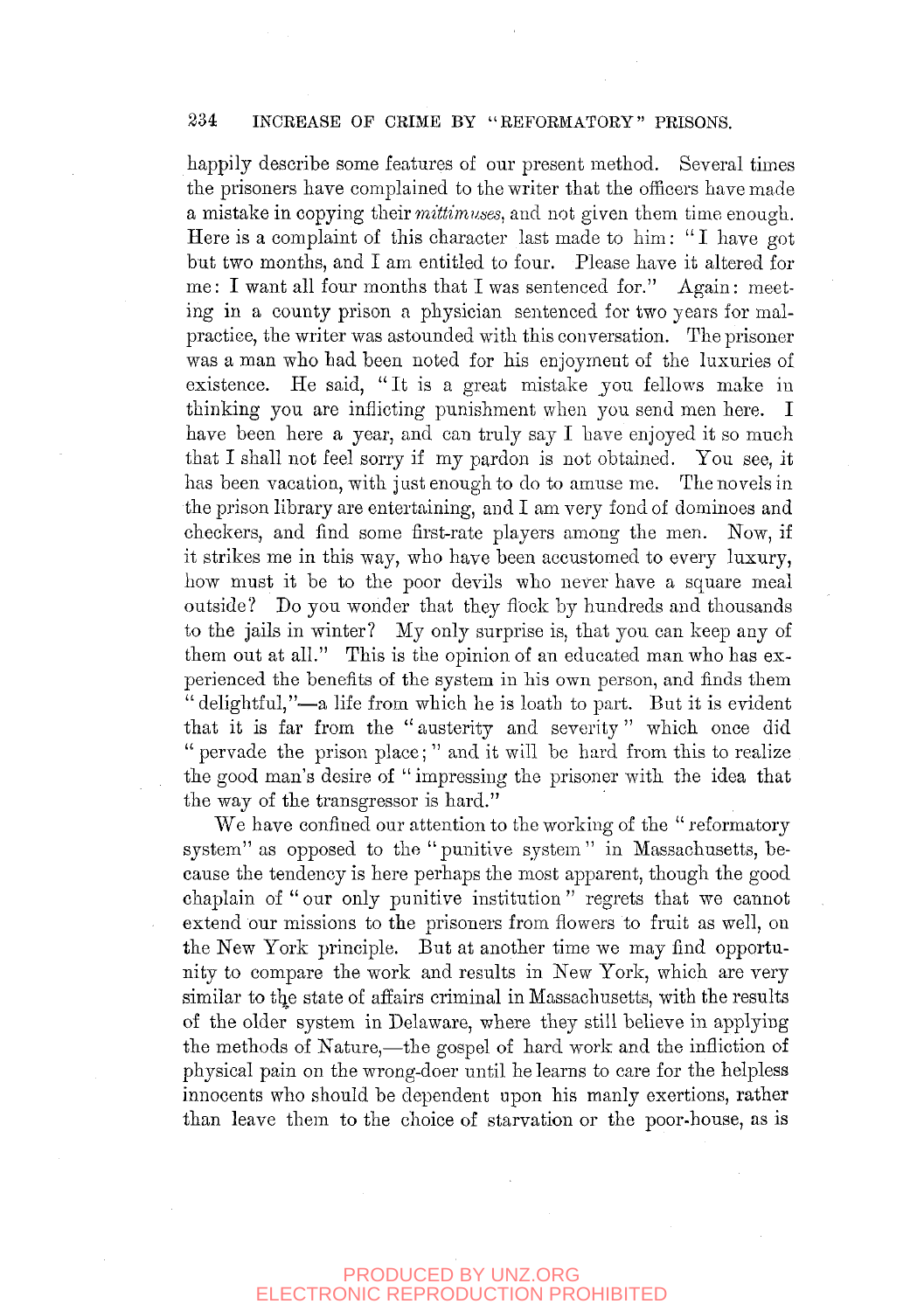#### 234 INCREASE OP CRIME BY "REFORMATORY" PRISONS.

happily describe some features of our present method. Several times the prisoners have complained to the writer that the officers have made a mistake in copying *their 7nittimnses,* and not given them time enough. Here is a complaint of this character last made to him: " I have got but two months, and I am entitled to four. Please have it altered for me: I want all four months that I was sentenced for." Again: meeting in a county prison a physician sentenced for two years for malpractice, the writer was astounded with this conversation. The prisoner was a man who had been noted for his enjoyment of the luxuries of existence. He said, "It is a great mistake you fellows make in thinking you are inflicting punishment when you send men here. I have been here a year, and can truly say I have enjoyed it so much that I shall not feel sorry if my pardon is not obtained. You see, it has been vacation, with just enough to do to amuse me. The novels in the prison library are entertaining, and I am yery fond of dominoes and checkers, and find some first-rate players among the men. Now, if it strikes me in this way, who have been accustomed to every luxury, how must it be to the poor devils who never have a square meal outside? Do you wonder that they flock by hundreds and thousands to the jails in winter? My only surprise is, that you can keep any of them out at all." This is the opinion of an educated man who has experienced the benefits of the system in his own person, and finds them " delightful,"—a life from which he is loath to part. But it is evident that it is far from the " austerity and severity" which once did " pervade the prison place; " and it will be hard from this to realize the good man's desire of "impressing the prisoner with the idea that the way of the transgressor is hard."

We have confined our attention to the working of the "reformatory" system" as opposed to the "punitive system" in Massachusetts, because the tendency is here perhaps the most apparent, though the good chaplain of "our only punitive institution" regrets that we cannot extend our missions to the prisoners from flowers to fruit as well, on the New York principle. But at another time we may find opportunity to compare the work and results in New York, which are very similar to the state of affairs criminal in Massachusetts, with the results of the older system in Delaware, where they still believe in applying the methods of Nature,—the gospejl of hard work and the infliction of physical pain on the wrong-doer until he learns to care for the helpless innocents who should be dependent upon his manly exertions, rather than leave them to the choice of starvation or the poor-house, as is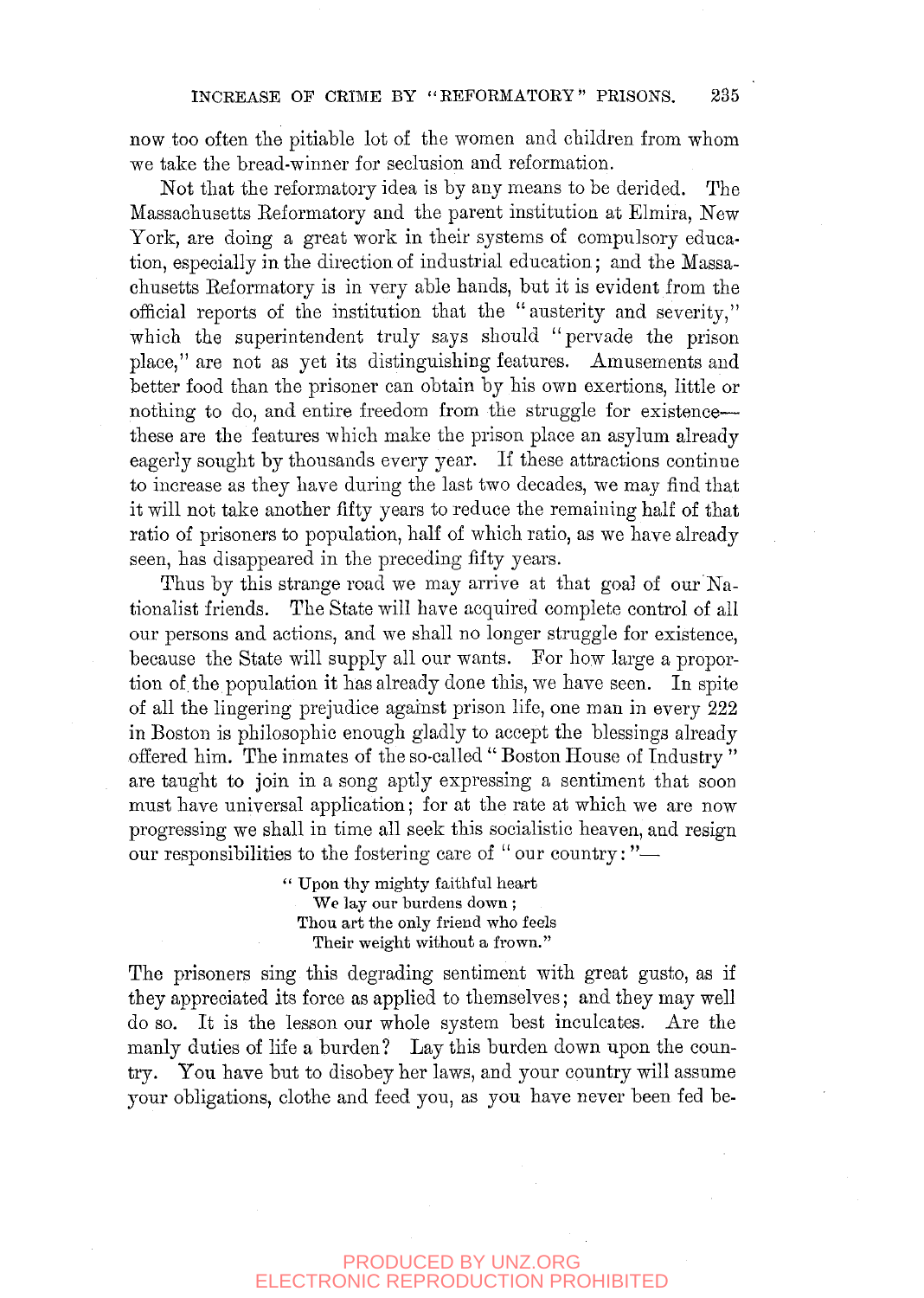now too often the pitiable lot of the women and children from whom we take the bread-winner for seclusion and reformation.

Not that the reformatory idea is by any means to be derided. The Massachusetts Reformatory and the parent institution at Elmira, New York, are doing a great work in their systems of compulsory education, especially in the direction of industrial education; and the Massachusetts Eeformatory is in very able hands, but it is evident from the official reports of the institution that the "austerity and severity," which the superintendent truly says should "pervade the prison place," are not as yet its distinguishing features. Amusements and better food than the prisoner can obtain by his own exertions, little or nothing to do, and entire freedom from the struggle for existence these are the features which make the prison place an asylum already eagerly sought by thousands every year. If these attractions continue to increase as they have during the last two decades, we may find that it will not take another fifty years to reduce the remaining half of that ratio of prisoners to population, half of which ratio, as we have already seen, has disappeared in the preceding fifty years.

Thus by this strange road we may arrive at that goal of our Nationalist friends. The State will have acquired complete control of all our persons and actions, and we shall no longer struggle for existence, because the State will supply all our wants. For how large a proportion of the population it has already done this, we have seen. In spite of all the lingering prejudice against prison life, one man in every 222 in Boston is philosophic enough gladly to accept the blessings already offered him. The inmates of the so-called " Boston House of Industry " are taught to join in a song aptly expressing a sentiment that soon must have universal application; for at the rate at which we are now progressing we shall in time all seek this socialistic heaven, and resign our responsibilities to the fostering care of "our country:"-

> " Upon thy mighty faithful heart We lay our burdens down; Thou art the only friend who feels Their weight without a frown."

The prisoners sing this degrading sentiment with great gusto, as if they appreciated its force as applied to themselves; and they may well do so. It is the lesson our whole system best inculcates. Are the manly duties of life a burden? Lay this burden down upon the country. You have but to disobey her laws, and your country will assume your obligations, clothe and feed you, as you have never been fed be-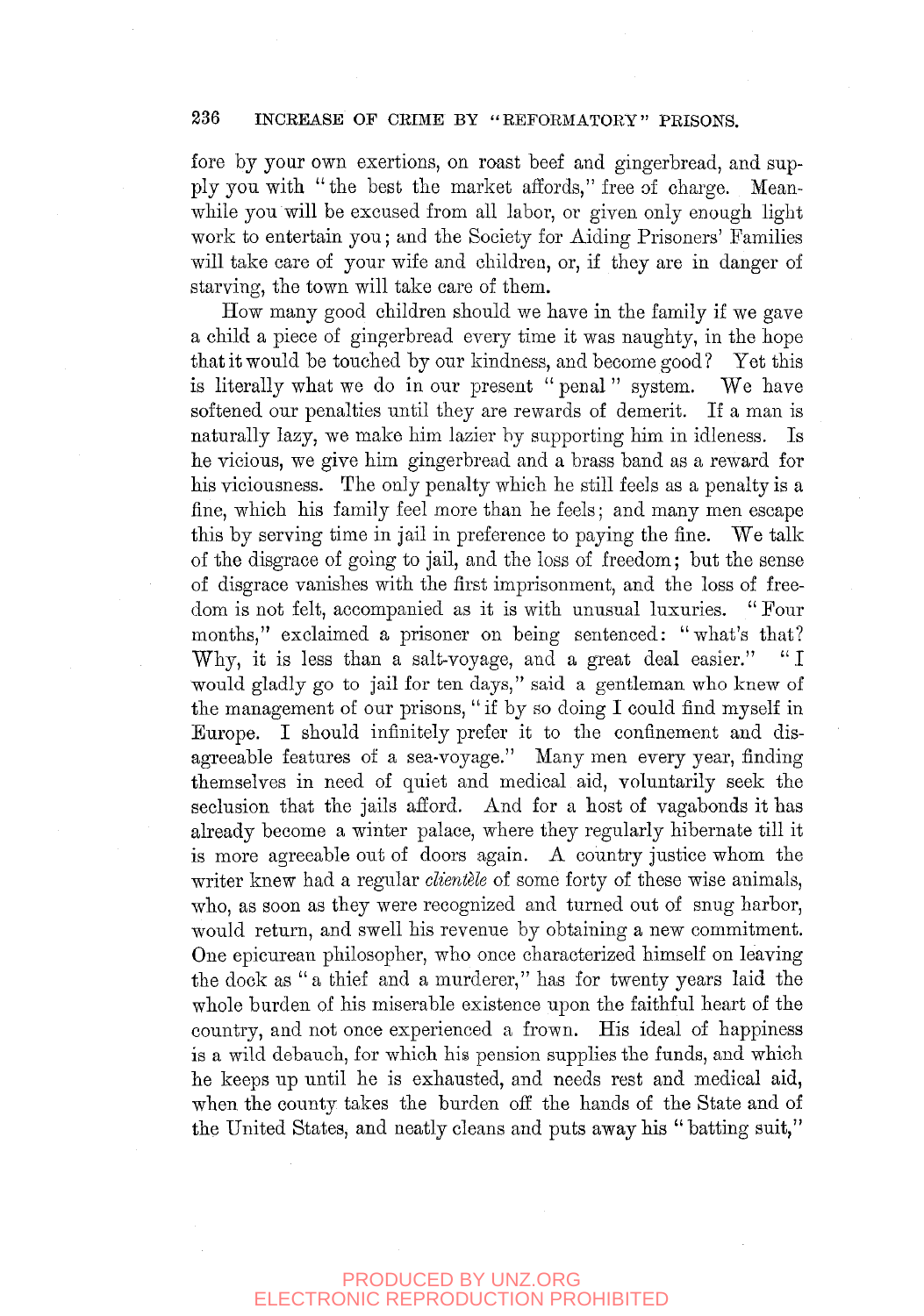### 236 INCREASE OF CRIME BY "REFORMATORY" PRISONS.

fore by your own exertions, on roast beef and gingerbread, and supply you with "the best the market affords," free of charge. Meanwhile you will be excused from all labor, or given only enough light work to entertain you; and the Society for Aiding Prisoners' Families will take care of your wife and children, or, if they are in danger of starving, the town will take care of them.

How many good children should we have in the family if we gave a child a piece of gingerbread every time it was naughty, in the hope that it would be touched by our kindness, and become good ? Yet this is literally what we do in our present " penal " system. We have softened our penalties until they are rewards of demerit. If a man is naturally lazy, we make him lazier by supporting him in idleness. Is he vicious, we give him gingerbread and a brass band as a reward for his viciousness. The only penalty which he still feels as a penalty is a fine, which his family feel more than he feels; and many men escape this by serving time in jail in preference to paying the fine. We talk of the disgrace of going to jail, and the loss of freedom; but the sense of disgrace vanishes with the first imprisonment, and the loss of freedom is not felt, accompanied as it is with unusual luxuries. " Four months," exclaimed a prisoner on being sentenced: "what's that? Why, it is less than a salt-voyage, and a great deal easier." "I would gladly go to jail for ten days," said a gentleman who knew of the management of our prisons, "if by so doing I could find myself in Europe. I should infinitely prefer it to the confinement and disagreeable features of a sea-voyage." Many men every year, finding themselves in need of quiet and medical aid, voluntarily seek the seclusion that the jails afford. And for a host of vagabonds it has already become a winter palace, where they regularly hibernate till it is more agreeable out of doors again. A country justice whom the writer knew had a regular *clientele* of some forty of these wise animals, who, as soon as they were recognized and turned out of snug harbor, would return, and swell his revenue by obtaining a new commitment. One epicurean philosopher, who once characterized himself on leaving the dock as " a thief and a murderer," has for twenty years laid the whole burden of his miserable existence upon the faithful heart of the country, and not once experienced a frown. His ideal of happiness is a wild debauch, for which his pension supplies the funds, and which he keeps up until he is exhausted, and needs rest and medical aid, when the county takes the burden off the hands of the State and of the United States, and neatly cleans and puts away his "batting suit,"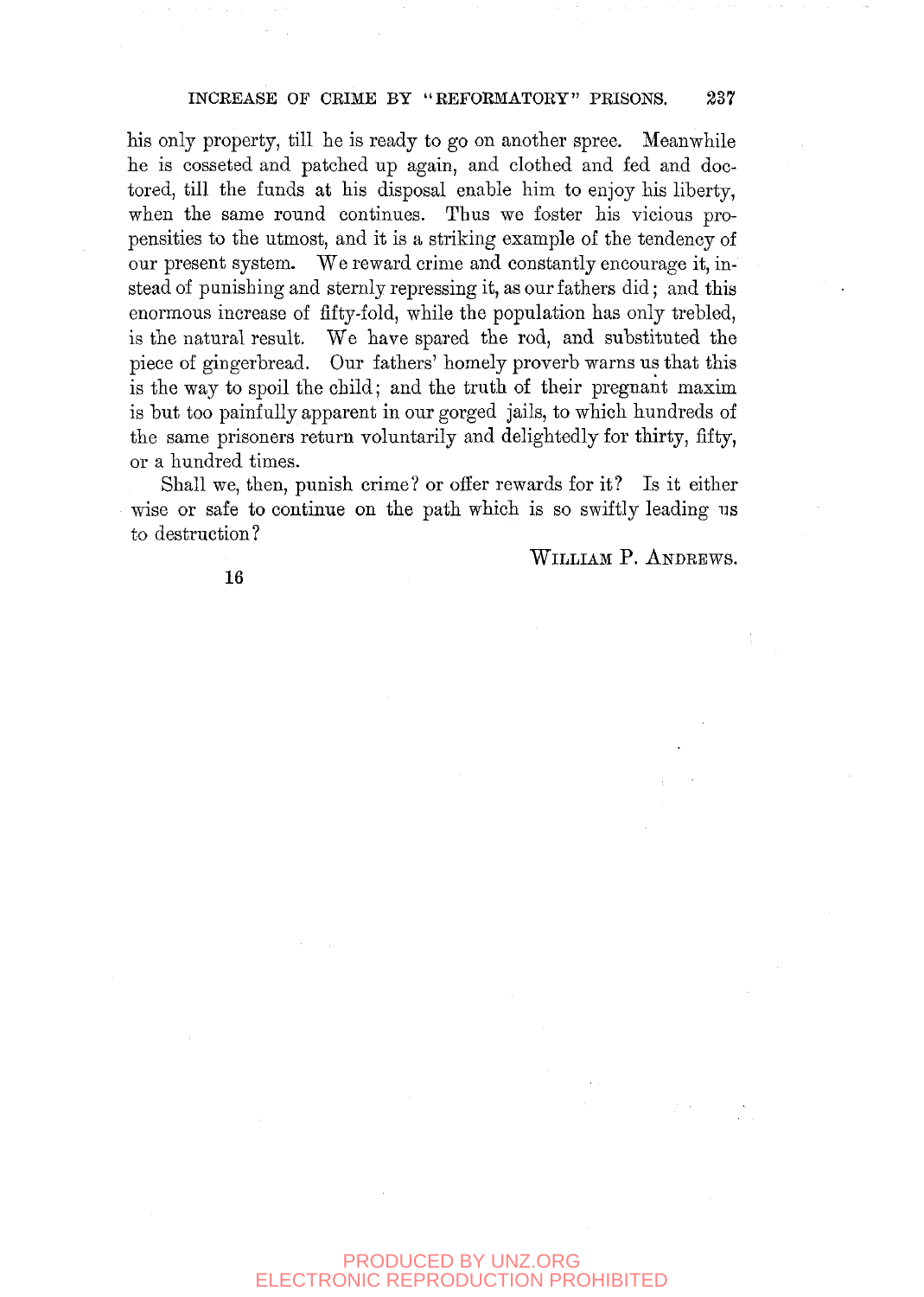his only property, till he is ready to go on another spree. Meanwhile he is cosseted and patched up again, and clothed and fed and doctored, till the funds at his disposal enable him to enjoy his liberty, when the same round continues. Thus we foster his vicious propensities to the utmost, and it is a striking example of the tendency of our present system. We reward crime and constantly encourage it, instead of punishing and sternly repressing it, as our fathers did; and this enormous increase of fifty-fold, while the population has only trebled, is the natural result. We have spared the rod, and substituted the piece of gingerbread. Our fathers' homely proverb warns us that this is the way to spoil the child; and the truth of their pregnant maxim is but too painfully apparent in our gorged jails, to which hundreds of the same prisoners return voluntarily and delightedly for thirty, fifty, or a hundred times.

Shall we, then, punish crime? or offer rewards for it? Is it either wise or safe to continue on the path which is so swiftly leading us to destruction?

WILLIAM P. ANDEEWS.

16